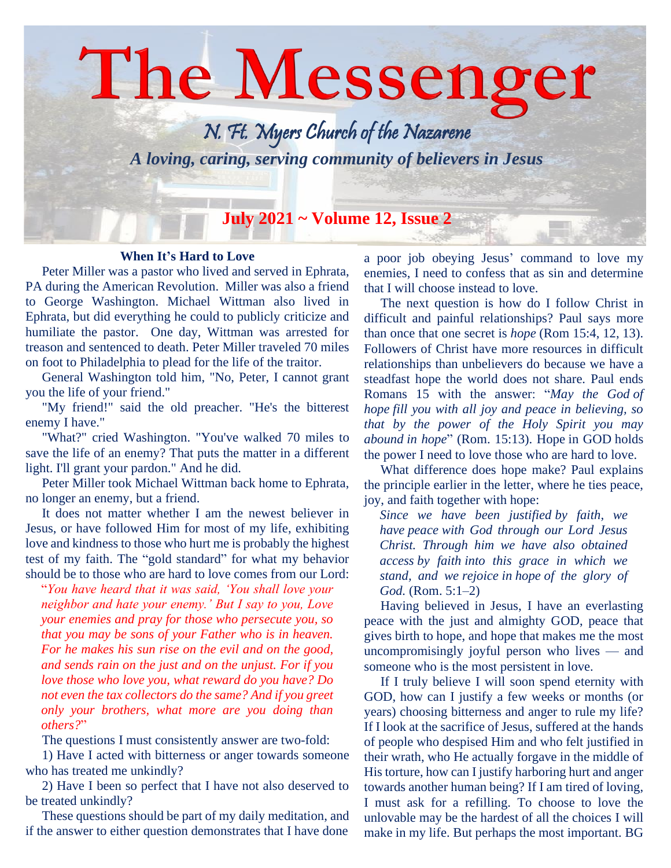# The Messenger N. Ft. Myers Church of the Nazarene *A loving, caring, serving community of believers in Jesus* **July 2021 ~ Volume 12, Issue 2**

#### **When It's Hard to Love**

 Peter Miller was a pastor who lived and served in Ephrata, PA during the American Revolution. Miller was also a friend to George Washington. Michael Wittman also lived in Ephrata, but did everything he could to publicly criticize and humiliate the pastor. One day, Wittman was arrested for treason and sentenced to death. Peter Miller traveled 70 miles on foot to Philadelphia to plead for the life of the traitor.

 General Washington told him, "No, Peter, I cannot grant you the life of your friend."

 "My friend!" said the old preacher. "He's the bitterest enemy I have."

 "What?" cried Washington. "You've walked 70 miles to save the life of an enemy? That puts the matter in a different light. I'll grant your pardon." And he did.

 Peter Miller took Michael Wittman back home to Ephrata, no longer an enemy, but a friend.

 It does not matter whether I am the newest believer in Jesus, or have followed Him for most of my life, exhibiting love and kindness to those who hurt me is probably the highest test of my faith. The "gold standard" for what my behavior should be to those who are hard to love comes from our Lord:

"*You have heard that it was said, 'You shall love your neighbor and hate your enemy.' But I say to you, Love your enemies and pray for those who persecute you, so that you may be sons of your Father who is in heaven. For he makes his sun rise on the evil and on the good, and sends rain on the just and on the unjust. For if you love those who love you, what reward do you have? Do not even the tax collectors do the same? And if you greet only your brothers, what more are you doing than others?*"

The questions I must consistently answer are two-fold:

 1) Have I acted with bitterness or anger towards someone who has treated me unkindly?

 2) Have I been so perfect that I have not also deserved to be treated unkindly?

 These questions should be part of my daily meditation, and if the answer to either question demonstrates that I have done

a poor job obeying Jesus' command to love my enemies, I need to confess that as sin and determine that I will choose instead to love.

 The next question is how do I follow Christ in difficult and painful relationships? Paul says more than once that one secret is *hope* [\(Rom](https://biblia.com/bible/esv/Rom%2015.4) 15:4, [12,](https://biblia.com/bible/esv/Romans%2015.12) [13\)](https://biblia.com/bible/esv/Romans%2015.13). Followers of Christ have more resources in difficult relationships than unbelievers do because we have a steadfast hope the world does not share. Paul ends Romans 15 with the answer: "*May the God of hope fill you with all joy and peace in believing, so that by the power of the Holy Spirit you may abound in hope*" (Rom. [15:13\)](https://biblia.com/bible/esv/Rom%2015.13). Hope in GOD holds the power I need to love those who are hard to love.

 What difference does hope make? Paul explains the principle earlier in the letter, where he ties peace, joy, and faith together with hope:

*Since we have been justified by faith, we have peace with God through our Lord Jesus Christ. Through him we have also obtained access by faith into this grace in which we stand, and we rejoice in hope of the glory of God.* (Rom. [5:1–2\)](https://biblia.com/bible/esv/Rom%205.1%E2%80%932)

 Having believed in Jesus, I have an everlasting peace with the just and almighty GOD, peace that gives birth to hope, and hope that makes me the most uncompromisingly joyful person who lives — and someone who is the most persistent in love.

 If I truly believe I will soon spend eternity with GOD, how can I justify a few weeks or months (or years) choosing bitterness and anger to rule my life? If I look at the sacrifice of Jesus, suffered at the hands of people who despised Him and who felt justified in their wrath, who He actually forgave in the middle of His torture, how can I justify harboring hurt and anger towards another human being? If I am tired of loving, I must ask for a refilling. To choose to love the unlovable may be the hardest of all the choices I will make in my life. But perhaps the most important. BG